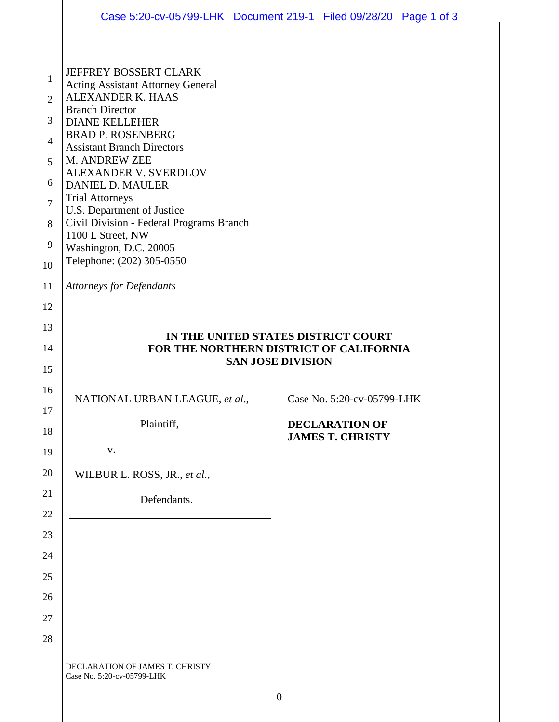|                                                                                        | Case 5:20-cv-05799-LHK Document 219-1 Filed 09/28/20 Page 1 of 3                                                                                                                                                                                                                                                                                                                                                                                                              |                  |                                                  |  |
|----------------------------------------------------------------------------------------|-------------------------------------------------------------------------------------------------------------------------------------------------------------------------------------------------------------------------------------------------------------------------------------------------------------------------------------------------------------------------------------------------------------------------------------------------------------------------------|------------------|--------------------------------------------------|--|
| 1<br>$\overline{2}$<br>3<br>$\overline{4}$<br>5<br>6<br>$\overline{7}$<br>8<br>9<br>10 | JEFFREY BOSSERT CLARK<br><b>Acting Assistant Attorney General</b><br><b>ALEXANDER K. HAAS</b><br><b>Branch Director</b><br><b>DIANE KELLEHER</b><br><b>BRAD P. ROSENBERG</b><br><b>Assistant Branch Directors</b><br>M. ANDREW ZEE<br><b>ALEXANDER V. SVERDLOV</b><br><b>DANIEL D. MAULER</b><br><b>Trial Attorneys</b><br>U.S. Department of Justice<br>Civil Division - Federal Programs Branch<br>1100 L Street, NW<br>Washington, D.C. 20005<br>Telephone: (202) 305-0550 |                  |                                                  |  |
| 11                                                                                     | <b>Attorneys for Defendants</b>                                                                                                                                                                                                                                                                                                                                                                                                                                               |                  |                                                  |  |
| 12<br>13<br>14<br>15                                                                   | IN THE UNITED STATES DISTRICT COURT<br>FOR THE NORTHERN DISTRICT OF CALIFORNIA<br><b>SAN JOSE DIVISION</b>                                                                                                                                                                                                                                                                                                                                                                    |                  |                                                  |  |
| 16                                                                                     | NATIONAL URBAN LEAGUE, et al.,                                                                                                                                                                                                                                                                                                                                                                                                                                                |                  | Case No. 5:20-cv-05799-LHK                       |  |
| 17<br>18                                                                               | Plaintiff,                                                                                                                                                                                                                                                                                                                                                                                                                                                                    |                  | <b>DECLARATION OF</b><br><b>JAMES T. CHRISTY</b> |  |
| 19                                                                                     | V.                                                                                                                                                                                                                                                                                                                                                                                                                                                                            |                  |                                                  |  |
| 20                                                                                     | WILBUR L. ROSS, JR., et al.,                                                                                                                                                                                                                                                                                                                                                                                                                                                  |                  |                                                  |  |
| 21                                                                                     | Defendants.                                                                                                                                                                                                                                                                                                                                                                                                                                                                   |                  |                                                  |  |
| 22                                                                                     |                                                                                                                                                                                                                                                                                                                                                                                                                                                                               |                  |                                                  |  |
| 23                                                                                     |                                                                                                                                                                                                                                                                                                                                                                                                                                                                               |                  |                                                  |  |
| 24                                                                                     |                                                                                                                                                                                                                                                                                                                                                                                                                                                                               |                  |                                                  |  |
| 25                                                                                     |                                                                                                                                                                                                                                                                                                                                                                                                                                                                               |                  |                                                  |  |
| 26                                                                                     |                                                                                                                                                                                                                                                                                                                                                                                                                                                                               |                  |                                                  |  |
| 27<br>28                                                                               |                                                                                                                                                                                                                                                                                                                                                                                                                                                                               |                  |                                                  |  |
|                                                                                        | DECLARATION OF JAMES T. CHRISTY<br>Case No. 5:20-cv-05799-LHK                                                                                                                                                                                                                                                                                                                                                                                                                 | $\boldsymbol{0}$ |                                                  |  |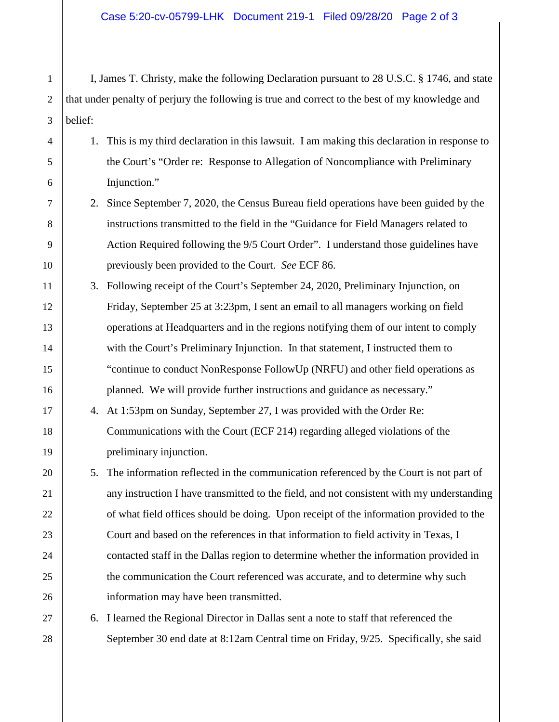I, James T. Christy, make the following Declaration pursuant to 28 U.S.C. § 1746, and state that under penalty of perjury the following is true and correct to the best of my knowledge and belief:

- 1. This is my third declaration in this lawsuit. I am making this declaration in response to the Court's "Order re: Response to Allegation of Noncompliance with Preliminary Injunction."
- 2. Since September 7, 2020, the Census Bureau field operations have been guided by the instructions transmitted to the field in the "Guidance for Field Managers related to Action Required following the 9/5 Court Order". I understand those guidelines have previously been provided to the Court. *See* ECF 86.
- 3. Following receipt of the Court's September 24, 2020, Preliminary Injunction, on Friday, September 25 at 3:23pm, I sent an email to all managers working on field operations at Headquarters and in the regions notifying them of our intent to comply with the Court's Preliminary Injunction. In that statement, I instructed them to "continue to conduct NonResponse FollowUp (NRFU) and other field operations as planned. We will provide further instructions and guidance as necessary."
	- 4. At 1:53pm on Sunday, September 27, I was provided with the Order Re: Communications with the Court (ECF 214) regarding alleged violations of the preliminary injunction.
	- 5. The information reflected in the communication referenced by the Court is not part of any instruction I have transmitted to the field, and not consistent with my understanding of what field offices should be doing. Upon receipt of the information provided to the Court and based on the references in that information to field activity in Texas, I contacted staff in the Dallas region to determine whether the information provided in the communication the Court referenced was accurate, and to determine why such information may have been transmitted.

6. I learned the Regional Director in Dallas sent a note to staff that referenced the September 30 end date at 8:12am Central time on Friday, 9/25. Specifically, she said